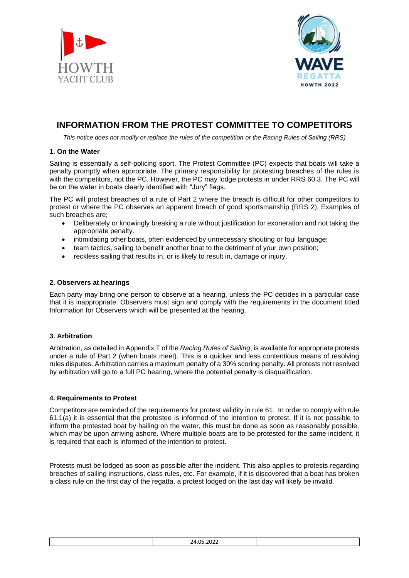



# **INFORMATION FROM THE PROTEST COMMITTEE TO COMPETITORS**

*This notice does not modify or replace the rules of the competition or the Racing Rules of Sailing (RRS)*

## **1. On the Water**

Sailing is essentially a self-policing sport. The Protest Committee (PC) expects that boats will take a penalty promptly when appropriate. The primary responsibility for protesting breaches of the rules is with the competitors, not the PC. However, the PC may lodge protests in under RRS 60.3. The PC will be on the water in boats clearly identified with "Jury" flags.

The PC will protest breaches of a rule of Part 2 where the breach is difficult for other competitors to protest or where the PC observes an apparent breach of good sportsmanship (RRS 2). Examples of such breaches are;

- Deliberately or knowingly breaking a rule without justification for exoneration and not taking the appropriate penalty.
- intimidating other boats, often evidenced by unnecessary shouting or foul language;
- team tactics, sailing to benefit another boat to the detriment of your own position:
- reckless sailing that results in, or is likely to result in, damage or injury.

## **2. Observers at hearings**

Each party may bring one person to observe at a hearing, unless the PC decides in a particular case that it is inappropriate. Observers must sign and comply with the requirements in the document titled Information for Observers which will be presented at the hearing.

# **3. Arbitration**

Arbitration, as detailed in Appendix T of the *Racing Rules of Sailing*, is available for appropriate protests under a rule of Part 2 (when boats meet). This is a quicker and less contentious means of resolving rules disputes. Arbitration carries a maximum penalty of a 30% scoring penalty. All protests not resolved by arbitration will go to a full PC hearing, where the potential penalty is disqualification.

### **4. Requirements to Protest**

Competitors are reminded of the requirements for protest validity in rule 61. In order to comply with rule 61.1(a) it is essential that the protestee is informed of the intention to protest. If it is not possible to inform the protested boat by hailing on the water, this must be done as soon as reasonably possible, which may be upon arriving ashore. Where multiple boats are to be protested for the same incident, it is required that each is informed of the intention to protest.

Protests must be lodged as soon as possible after the incident. This also applies to protests regarding breaches of sailing instructions, class rules, etc. For example, if it is discovered that a boat has broken a class rule on the first day of the regatta, a protest lodged on the last day will likely be invalid.

| ıл<br>ΩI<br>27.<br>-922<br>----------- |  |
|----------------------------------------|--|
|                                        |  |